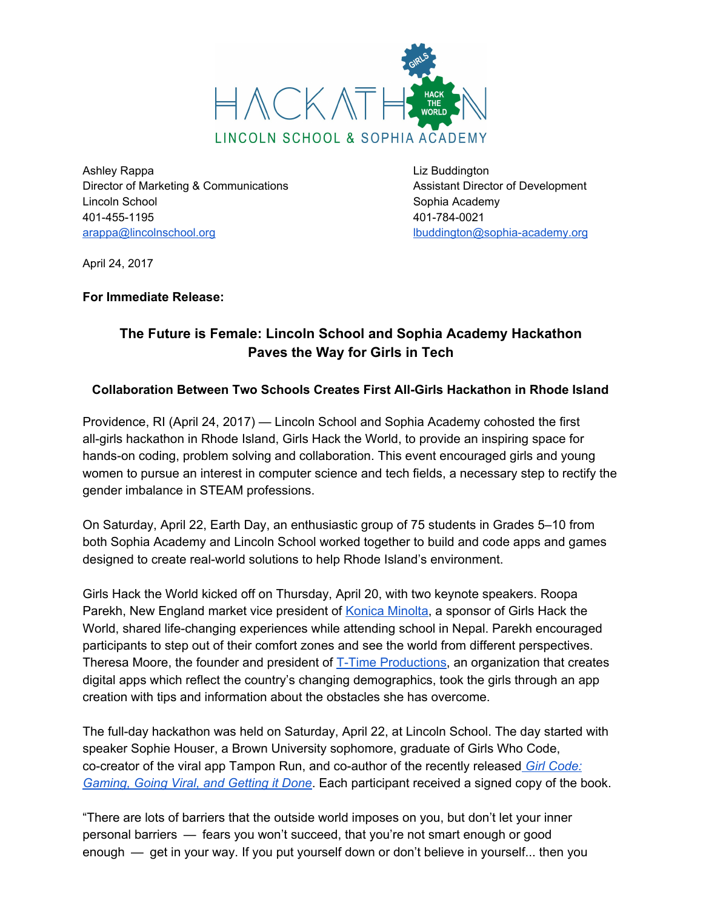

Ashley Rappa **Ashley Rappa Liz Buddington** Director of Marketing & Communications **Assistant Director of Development** Lincoln School **Sophia Academy** 401-455-1195 401-784-0021 [arappa@lincolnschool.org](mailto:arappa@lincolnschool.org) [lbuddington@sophia-academy.org](mailto:lbuddington@sophia-academy.org)

April 24, 2017

## **For Immediate Release:**

## **The Future is Female: Lincoln School and Sophia Academy Hackathon Paves the Way for Girls in Tech**

## **Collaboration Between Two Schools Creates First All-Girls Hackathon in Rhode Island**

Providence, RI (April 24, 2017) — Lincoln School and Sophia Academy cohosted the first all-girls hackathon in Rhode Island, Girls Hack the World, to provide an inspiring space for hands-on coding, problem solving and collaboration. This event encouraged girls and young women to pursue an interest in computer science and tech fields, a necessary step to rectify the gender imbalance in STEAM professions.

On Saturday, April 22, Earth Day, an enthusiastic group of 75 students in Grades 5–10 from both Sophia Academy and Lincoln School worked together to build and code apps and games designed to create real-world solutions to help Rhode Island's environment.

Girls Hack the World kicked off on Thursday, April 20, with two keynote speakers. Roopa Parekh, New England market vice president of [K](http://konicaminolta.us/)onica [Minolta,](http://konicaminolta.us/) a sponsor of Girls Hack the World, shared life-changing experiences while attending school in Nepal. Parekh encouraged participants to step out of their comfort zones and see the world from different perspectives. Theresa Moore, the founder and president o[f](http://www.t-timeproductions.com/) T-Time [Productions](http://www.t-timeproductions.com/), an organization that creates digital apps which reflect the country's changing demographics, took the girls through an app creation with tips and information about the obstacles she has overcome.

The full-day hackathon was held on Saturday, April 22, at Lincoln School. The day started with speaker Sophie Houser, a Brown University sophomore, graduate of Girls Who Code, co-creator of the viral app Tampon Run, and co-author of the recently release[d](https://www.girlcodethebook.com/) *Girl [Code:](https://www.girlcodethebook.com/) [Gaming,](https://www.girlcodethebook.com/) Going Viral, and Getting it Done*. Each participant received a signed copy of the book.

"There are lots of barriers that the outside world imposes on you, but don't let your inner personal barriers — fears you won't succeed, that you're not smart enough or good enough — get in your way. If you put yourself down or don't believe in yourself... then you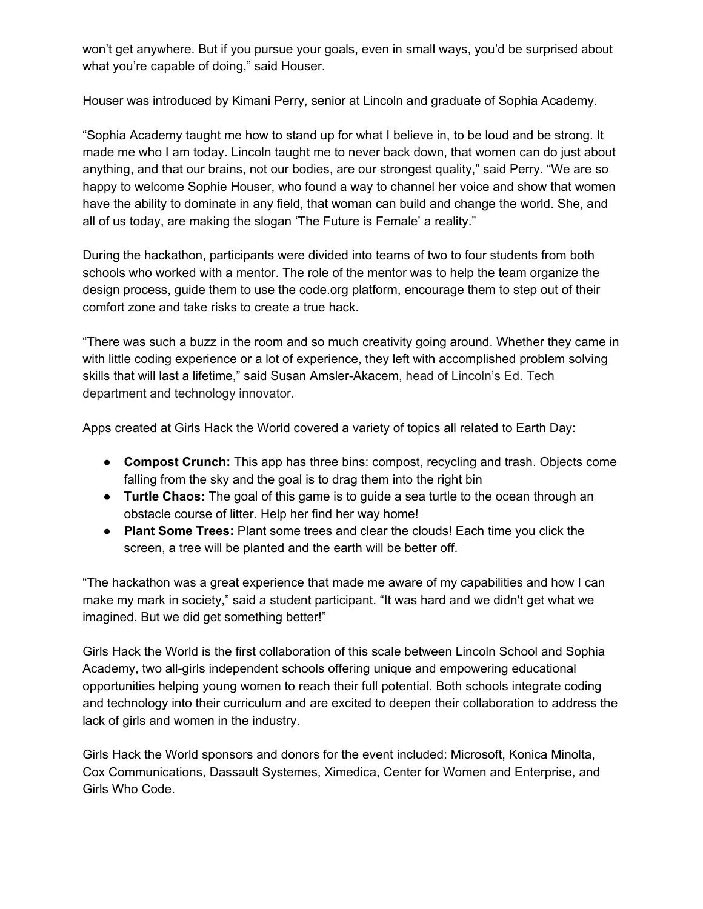won't get anywhere. But if you pursue your goals, even in small ways, you'd be surprised about what you're capable of doing," said Houser.

Houser was introduced by Kimani Perry, senior at Lincoln and graduate of Sophia Academy.

"Sophia Academy taught me how to stand up for what I believe in, to be loud and be strong. It made me who I am today. Lincoln taught me to never back down, that women can do just about anything, and that our brains, not our bodies, are our strongest quality," said Perry. "We are so happy to welcome Sophie Houser, who found a way to channel her voice and show that women have the ability to dominate in any field, that woman can build and change the world. She, and all of us today, are making the slogan 'The Future is Female' a reality."

During the hackathon, participants were divided into teams of two to four students from both schools who worked with a mentor. The role of the mentor was to help the team organize the design process, guide them to use the code.org platform, encourage them to step out of their comfort zone and take risks to create a true hack.

"There was such a buzz in the room and so much creativity going around. Whether they came in with little coding experience or a lot of experience, they left with accomplished problem solving skills that will last a lifetime," said Susan Amsler-Akacem, head of Lincoln's Ed. Tech department and technology innovator.

Apps created at Girls Hack the World covered a variety of topics all related to Earth Day:

- **Compost Crunch:** This app has three bins: compost, recycling and trash. Objects come falling from the sky and the goal is to drag them into the right bin
- **Turtle Chaos:** The goal of this game is to guide a sea turtle to the ocean through an obstacle course of litter. Help her find her way home!
- **● Plant Some Trees:** Plant some trees and clear the clouds! Each time you click the screen, a tree will be planted and the earth will be better off.

"The hackathon was a great experience that made me aware of my capabilities and how I can make my mark in society," said a student participant. "It was hard and we didn't get what we imagined. But we did get something better!"

Girls Hack the World is the first collaboration of this scale between Lincoln School and Sophia Academy, two all-girls independent schools offering unique and empowering educational opportunities helping young women to reach their full potential. Both schools integrate coding and technology into their curriculum and are excited to deepen their collaboration to address the lack of girls and women in the industry.

Girls Hack the World sponsors and donors for the event included: Microsoft, Konica Minolta, Cox Communications, Dassault Systemes, Ximedica, Center for Women and Enterprise, and Girls Who Code.